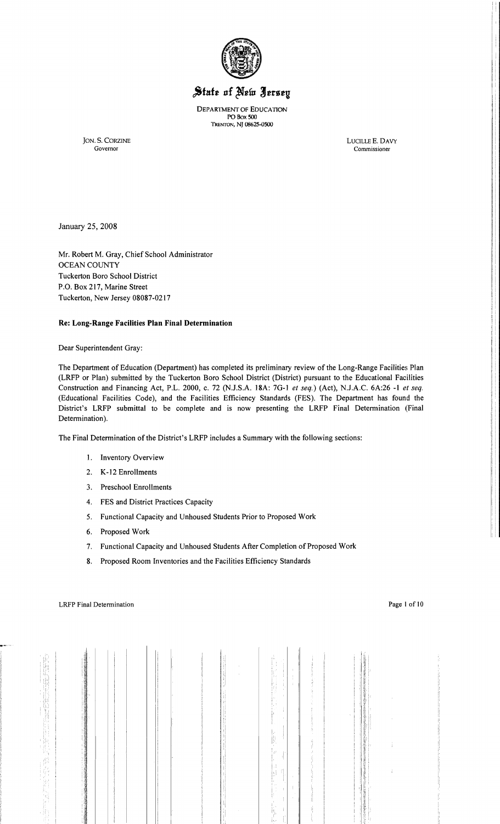

# State of New Jersey

DEPARTMENT OF EDUCATION PO Box 500 TRENTON, NJ 08625-0500

JON. S. CORZINE LUOLLEE. DAVY

Governor Commissioner

January 25, 2008

Mr. Robert M. Gray, Chief School Administrator OCEAN COUNTY Tuckerton Boro School District P.O. Box 217, Marine Street Tuckerton, New Jersey 08087-0217

# **Re: Long-Range Facilities Plan Final Determination**

Dear Superintendent Gray:

The Department of Education (Department) has completed its preliminary review of the Long-Range Facilities Plan (LRFP or Plan) submitted by the Tuckerton Boro School District (District) pursuant to the Educational Facilities Construction and Financing Act, P.L. 2000, c. 72 (NJ.S.A. 18A: 7G-I *et seq.)* (Act), NJ.A.C. 6A:26 -I *et seq.*  (Educational Facilities Code), and the Facilities Efficiency Standards (FES). The Department has found the District's LRFP submittal to be complete and is now presenting the LRFP Final Determination (Final Determination).

The Final Determination of the District's LRFP includes a Summary with the following sections:

- I. Inventory Overview
- 2. K-12 Enrollments
- 3. Preschool Enrollments
- 4. FES and District Practices Capacity
- 5. Functional Capacity and Unhoused Students Prior to Proposed Work
- 6. Proposed Work
- 7. Functional Capacity and Unhoused Students After Completion of Proposed Work
- 8. Proposed Room Inventories and the Facilities Efficiency Standards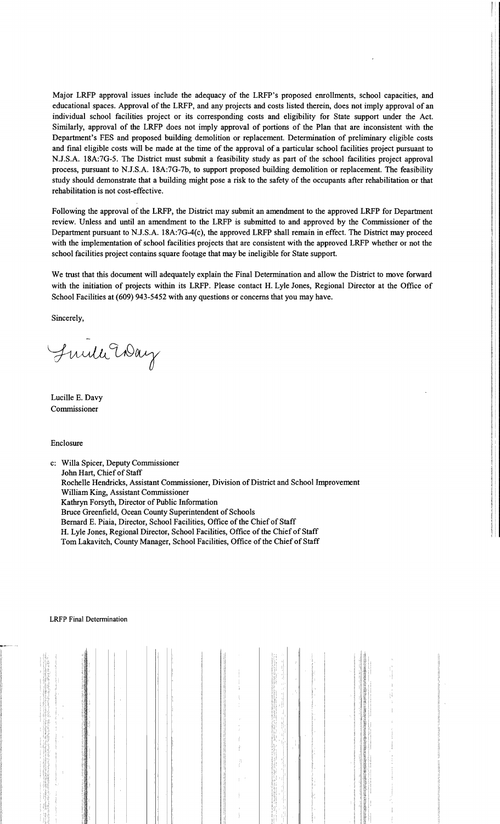Major LRFP approval issues include the adequacy of the LRFP's proposed enrollments, school capacities, and educational spaces. Approval of the LRFP, and any projects and costs listed therein, does not imply approval of an individual school facilities project or its corresponding costs and eligibility for State support under the Act. Similarly, approval of the LRFP does not imply approval of portions of the Plan that are inconsistent with the Department's FES and proposed building demolition or replacement. Determination of preliminary eligible costs and final eligible costs will be made at the time of the approval of a particular school facilities project pursuant to N.J.S.A. 18A:7G-5. The District must submit a feasibility study as part of the school facilities project approval process, pursuant to N.J.S.A. 18A:7G-7b, to support proposed building demolition or replacement. The feasibility study should demonstrate that a building might pose a risk to the safety of the occupants after rehabilitation or that rehabilitation is not cost-effective.

Following the approval of the LRFP, the District may submit an amendment to the approved LRFP for Department review. Unless and until an amendment to the LRFP is submitted to and approved by the Commissioner of the Department pursuant to N.J.S.A. 18A:7G-4(c), the approved LRFP shall remain in effect. The District may proceed with the implementation of school facilities projects that are consistent with the approved LRFP whether or not the school facilities project contains square footage that may be ineligible for State support.

We trust that this document will adequately explain the Final Determination and allow the District to move forward with the initiation of projects within its LRFP. Please contact H. Lyle Jones, Regional Director at the Office of School Facilities at (609) 943-5452 with any questions or concerns that you may have.

Sincerely,

Fuille Way

Lucille E. Davy Commissioner

Enclosure

c: Willa Spicer, Deputy Commissioner John Hart, Chief of Staff Rochelle Hendricks, Assistant Commissioner, Division of District and School Improvement William King, Assistant Commissioner Kathryn Forsyth, Director of Public Information Bruce Greenfield, Ocean County Superintendent of Schools Bernard E. Piaia, Director, School Facilities, Office of the Chief of Staff H. Lyle Jones, Regional Director, School Facilities, Office of the Chief of Staff Tom Lakavitch, County Manager, School Facilities, Office of the Chief of Staff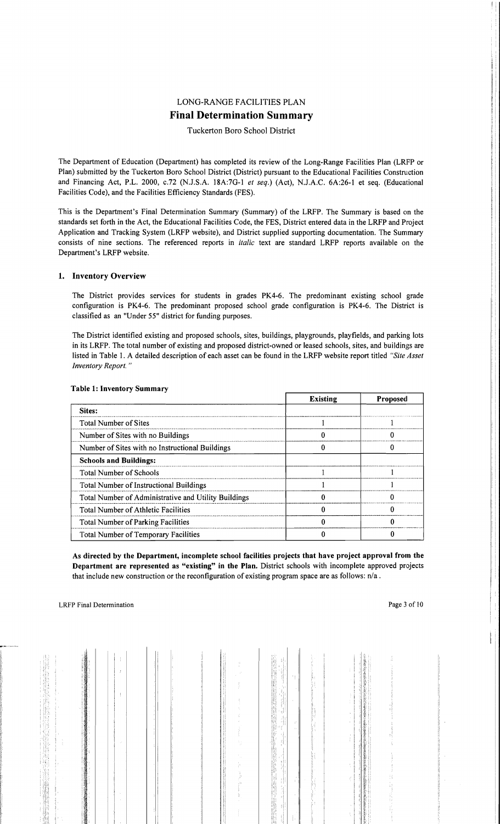# LONG-RANGE FACILITIES PLAN **Final Determination Summary**

# Tuckerton Boro School District

The Department of Education (Department) has completed its review of the Long-Range Facilities Plan (LRFP or Plan) submitted by the Tuckerton Boro School District (District) pursuant to the Educational Facilities Constmction and Financing Act, P.L. 2000, c.72 (N.lS.A. 18A:7G-l *et seq.)* (Act), N.lA.C. 6A:26-1 et seq. (Educational Facilities Code), and the Facilities Efficiency Standards (FES).

This is the Department's Final Determination Summary (Summary) of the LRFP. The Summary is based on the standards set forth in the Act, the Educational Facilities Code, the FES, District entered data in the LRFP and Project Application and Tracking System (LRFP website), and District supplied supporting documentation. The Summary consists of nine sections. The referenced reports in *italic* text are standard LRFP reports available on the Department's LRFP website.

# 1. Inventory Overview

The District provides services for students in grades PK4-6. The predominant existing school grade configuration is PK4-6. The predominant proposed school grade configuration is PK4-6. The District is classified as an "Under 55" district for funding purposes.

The District identified existing and proposed schools, sites, buildings, playgrounds, playfields, and parking lots in its LRFP. The total number of existing and proposed district-owned or leased schools, sites, and buildings are listed in Table 1. A detailed description of each asset can be found in the LRFP website report titled *"Site Asset Inventory Report. "* 

|                                                      | <b>Existing</b> | <b>Proposed</b> |
|------------------------------------------------------|-----------------|-----------------|
| Sites:                                               |                 |                 |
| <b>Total Number of Sites</b>                         |                 |                 |
| Number of Sites with no Buildings                    |                 |                 |
| Number of Sites with no Instructional Buildings      |                 |                 |
| <b>Schools and Buildings:</b>                        |                 |                 |
| <b>Total Number of Schools</b>                       |                 |                 |
| Total Number of Instructional Buildings              |                 |                 |
| Total Number of Administrative and Utility Buildings |                 |                 |
| Total Number of Athletic Facilities                  |                 |                 |
| Total Number of Parking Facilities                   |                 |                 |
| <b>Total Number of Temporary Facilities</b>          |                 |                 |

#### Table 1: Inventory Summary

As directed by the Department, incomplete school facilities projects that have project approval from the Department are represented as "existing" in the Plan. District schools with incomplete approved projects that include new construction or the reconfiguration of existing program space are as follows: n/a.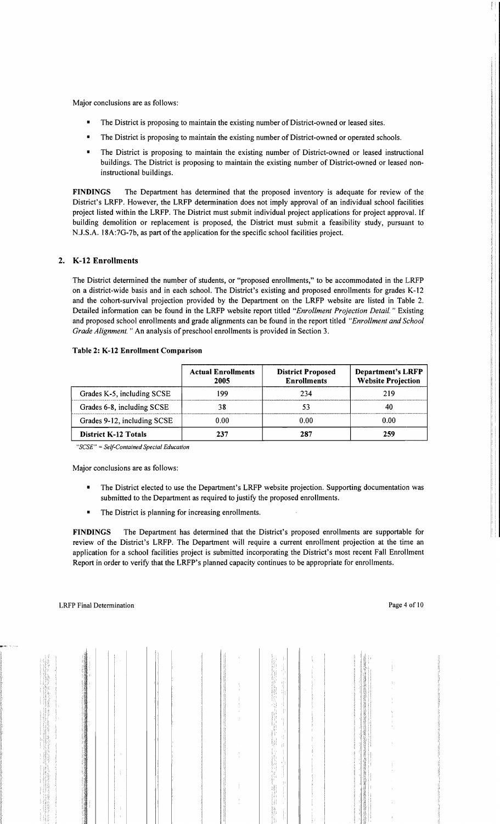Major conclusions are as follows:

- The District is proposing to maintain the existing number of District-owned or leased sites.
- The District is proposing to maintain the existing number of District-owned or operated schools.
- The District is proposing to maintain the existing number of District-owned or leased instructional buildings. The District is proposing to maintain the existing number of District-owned or leased noninstructional buildings.

FINDINGS The Department has determined that the proposed inventory is adequate for review of the District's LRFP. However, the LRFP determination does not imply approval of an individual school facilities project listed within the LRFP. The District must submit individual project applications for project approval. If building demolition or replacement is proposed, the District must submit a feasibility study, pursuant to NJ.S.A. 18A:7G-7b, as part of the application for the specific school facilities project.

# 2. K-12 Enrollments

The District determined the number of students, or "proposed enrollments," to be accommodated in the LRFP on a district-wide basis and in each school. The District's existing and proposed enrollments for grades K-12 and the cohort-survival projection provided by the Department on the LRFP website are listed in Table 2. Detailed information can be found in the LRFP website report titled *"Enrollment Projection Detail.* " Existing and proposed school enrollments and grade alignments can be found in the report titled *"Enrollment and School Grade Alignment.* " An analysis of preschool enrollments is provided in Section 3.

|  |  |  | Table 2: K-12 Enrollment Comparison |
|--|--|--|-------------------------------------|
|--|--|--|-------------------------------------|

|                             | <b>Actual Enrollments</b><br>2005 | <b>District Proposed</b><br><b>Enrollments</b> | <b>Department's LRFP</b><br><b>Website Projection</b> |
|-----------------------------|-----------------------------------|------------------------------------------------|-------------------------------------------------------|
| Grades K-5, including SCSE  | 199                               | 234                                            | 219                                                   |
| Grades 6-8, including SCSE  | 38                                |                                                | 40                                                    |
| Grades 9-12, including SCSE | 0.00                              | 0.00                                           | 0.00                                                  |
| <b>District K-12 Totals</b> | 237                               | 287                                            | 259                                                   |

*"SCSE"* = *Se/fContained Special Education* 

Major conclusions are as follows:

- The District elected to use the Department's LRFP website projection. Supporting documentation was submitted to the Department as required to justify the proposed enrollments.
- **•** The District is planning for increasing enrollments.

FINDINGS The Department has determined that the District's proposed enrollments are supportable for review of the District's LRFP. The Department will require a current enrollment projection at the time an application for a school facilities project is submitted incorporating the District's most recent Fall Enrollment Report in order to verify that the LRFP's planned capacity continues to be appropriate for enrollments.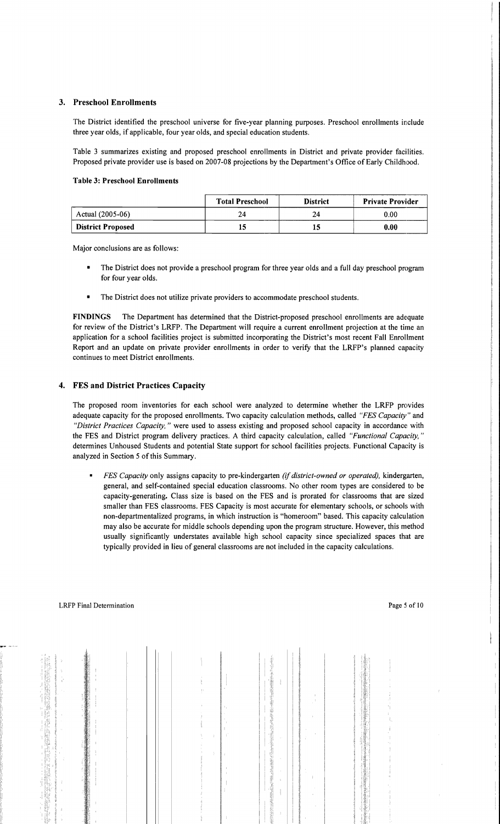# 3. Preschool Enrollments

The District identified the preschool universe for five-year planning purposes. Preschool enrollments include three year olds, if applicable, four year olds, and special education students.

Table 3 summarizes existing and proposed preschool enrollments in District and private provider facilities. Proposed private provider use is based on 2007-08 projections by the Department's Office of Early Childhood.

#### Table 3: Preschool Enrollments

|                          | <b>Total Preschool</b> | <b>District</b> | <b>Private Provider</b> |
|--------------------------|------------------------|-----------------|-------------------------|
| Actual (2005-06)         | 24                     | 24              | 0.00                    |
| <b>District Proposed</b> | 13                     |                 | 0.00                    |

Major conclusions are as follows:

- The District does not provide a preschool program for three year olds and a full day preschool program for four year olds.
- The District does not utilize private providers to accommodate preschool students.

FINDINGS The Department has determined that the District-proposed preschool enrollments are adequate for review of the District's LRFP. The Department will require a current enrollment projection at the time an application for a school facilities project is submitted incorporating the District's most recent Fall Enrollment Report and an update on private provider enrollments in order to verify that the LRFP's planned capacity continues to meet District enrollments.

# 4. FES and District Practices Capacity

The proposed room inventories for each school were analyzed to determine whether the LRFP provides adequate capacity for the proposed enrollments. Two capacity calculation methods, called *"FES Capacity"* and *"District Practices Capacity,* " were used to assess existing and proposed school capacity in accordance: with the FES and District program delivery practices. A third capacity calculation, called *"Functional Capacity, "*  determines Unhoused Students and potential State support for school facilities projects. Functional Capacity is analyzed in Section 5 of this Summary.

*• FES Capacity* only assigns capacity to pre-kindergarten *(if district-owned or operated),* kindergarten, general, and self-contained special education classrooms. No other room types are considered to be capacity-generating. Class size is based on the FES and is prorated for classrooms that are sized smaller than FES classrooms. FES Capacity is most accurate for elementary schools, or schools with non-departmentalized programs, in which instruction is "homeroom" based. This capacity calculation may also be accurate for middle schools depending upon the program structure. However, this method usually significantly understates available high school capacity since specialized spaces that are typically provided in lieu of general classrooms are not included in the capacity calculations.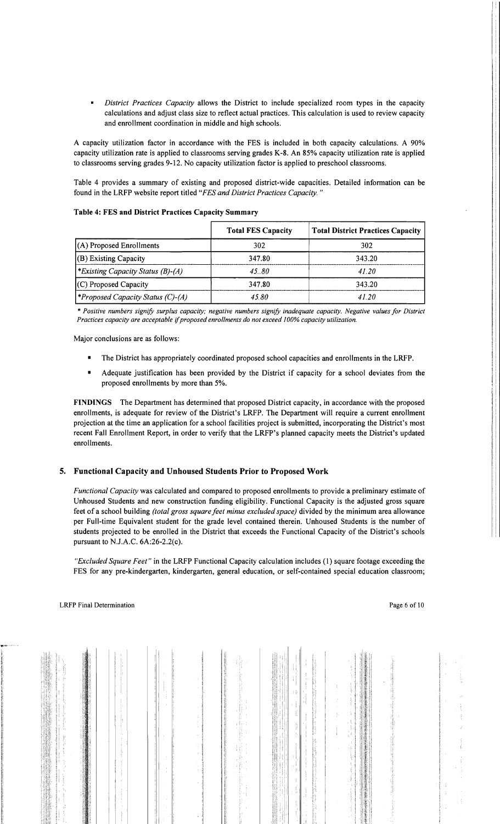*District Practices Capacity* allows the District to include specialized room types in the capacity calculations and adjust class size to reflect actual practices. This calculation is used to review capacity and enrollment coordination in middle and high schools.

A capacity utilization factor in accordance with the FES is included in both capacity calculations. A 90% capacity utilization rate is applied to classrooms serving grades K-8. An 85% capacity utilization rate is applied to classrooms serving grades 9-12. No capacity utilization factor is applied to preschool classrooms.

Table 4 provides a summary of existing and proposed district-wide capacities. Detailed information can be found in the LRFP website report titled *"FES and District Practices Capacity. "* 

|                                         | <b>Total FES Capacity</b> | <b>Total District Practices Capacity</b> |
|-----------------------------------------|---------------------------|------------------------------------------|
| $(A)$ Proposed Enrollments              | 302                       | 302                                      |
| $ $ (B) Existing Capacity               | 347.80                    | 343.20                                   |
| *Existing Capacity Status $(B)$ - $(A)$ | 45.80                     | 41 20                                    |
| $(C)$ Proposed Capacity                 | 347.80                    | 343.20                                   |
| Proposed Capacity Status (C)-(A)        | 45.80                     | 41 20                                    |

## Table 4: FES and District Practices Capacity Summary

\* *Positive numbers signify surplus capacity; negative numbers signify inadequate capacity. Negative values for District Practices capacity are acceptable* if*proposed enrollments do not exceed 100% capacity utilization.* 

Major conclusions are as follows:

- The District has appropriately coordinated proposed school capacities and enrollments in the LRFP.
- Adequate justification has been provided by the District if capacity for a school deviates from the proposed enrollments by more than 5%.

FINDINGS The Department has determined that proposed District capacity, in accordance with the proposed enrollments, is adequate for review of the District's LRFP. The Department will require a current enrollment projection at the time an application for a school facilities project is submitted, incorporating the District's most recent Fall Enrollment Report, in order to verify that the LRFP's planned capacity meets the District's updated enrollments.

# 5. Functional Capacity and Unhoused Students Prior to Proposed Work

*Functional Capacity* was calculated and compared to proposed enrollments to provide a preliminary estimate of Unhoused Students and new construction funding eligibility. Functional Capacity is the adjusted gross square feet of a school building *(total gross square feet minus excluded space)* divided by the minimum area allowance per Full-time Equivalent student for the grade level contained therein. Unhoused Students is the number of students projected to be enrolled in the District that exceeds the Functional Capacity of the District's schools pursuant to NJ.A.C. 6A:26-2.2(c).

*"Excluded Square Feet"* in the LRFP Functional Capacity calculation includes (1) square footage exceeding the FES for any pre-kindergarten, kindergarten, general education, or self-contained special education classroom;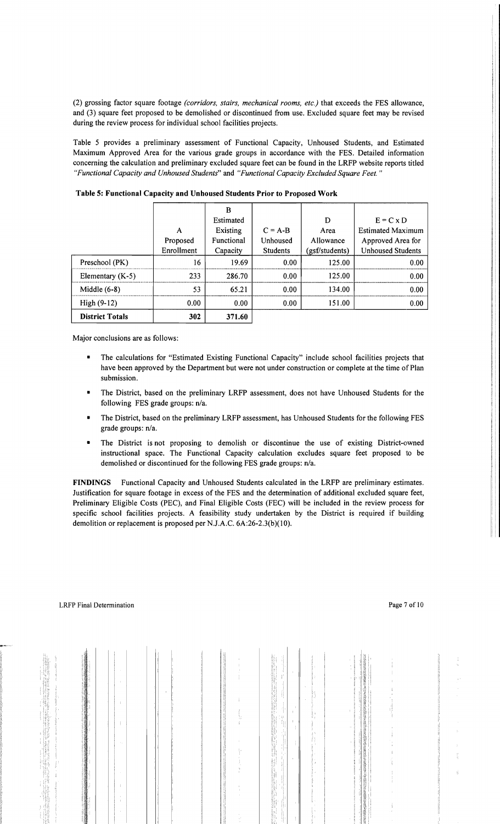(2) grossing factor square footage *(corridors, stairs, mechanical rooms, etc.)* that exceeds the FES allowance, and (3) square feet proposed to be demolished or discontinued from use. Excluded square feet may be revised during the review process for individual school facilities projects.

Table 5 provides a preliminary assessment of Functional Capacity, Unhoused Students, and Estimated Maximum Approved Area for the various grade groups in accordance with the FES. Detailed information concerning the calculation and preliminary excluded square feet can be found in the LRFP website reports titled *"Functional Capacity and Unhoused Students"* and *"Functional Capacity Excluded Square Feet. "* 

|                        |            | B          |                 |                |                          |
|------------------------|------------|------------|-----------------|----------------|--------------------------|
|                        |            | Estimated  |                 | D              | $E = C \times D$         |
|                        | A          | Existing   | $C = A-B$       | Area           | <b>Estimated Maximum</b> |
|                        | Proposed   | Functional | Unhoused        | Allowance      | Approved Area for        |
|                        | Enrollment | Capacity   | <b>Students</b> | (gsf/students) | <b>Unhoused Students</b> |
| Preschool (PK)         | 16         | 19.69      | 0.00            | 125.00         | 0.00                     |
| Elementary $(K-5)$     | 233        | 286.70     | 0.00            | 125.00         | 0.00                     |
| Middle $(6-8)$         | 53         | 65.21      | 0.00            | 134.00         | 0.00                     |
| $High (9-12)$          | 0.00       | 0.00       | 0.00            | 151.00         | 0.00                     |
| <b>District Totals</b> | 302        | 371.60     |                 |                |                          |

Table 5: Functional Capacity and Unhoused Students Prior to Proposed Work

Major conclusions are as follows:

- The calculations for "Estimated Existing Functional Capacity" include school facilities projects that have been approved by the Department but were not under construction or complete at the time of Plan submission.
- The District, based on the preliminary LRFP assessment, does not have Unhoused Students for the following FES grade groups: n/a.
- The District, based on the preliminary LRFP assessment, has Unhoused Students for the following FES grade groups: n/a.
- The District is not proposing to demolish or discontinue the use of existing District-owned instructional space. The Functional Capacity calculation excludes square feet proposed to be demolished or discontinued for the following FES grade groups: n/a.

FINDINGS Functional Capacity and Unhoused Students calculated in the LRFP are preliminary estimates. Justification for square footage in excess of the FES and the determination of additional excluded square feet, Preliminary Eligible Costs (PEC), and Final Eligible Costs (FEC) will be included in the review process for specific school facilities projects. A feasibility study undertaken by the District is required if building demolition or replacement is proposed per NJ.A.C. 6A:26-2.3(b)(10).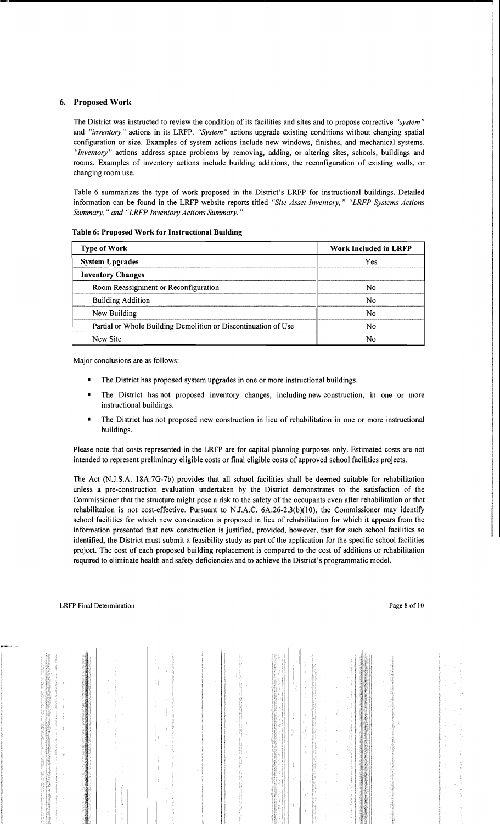# 6. Proposed Work

The District was instructed to review the condition of its facilities and sites and to propose corrective *"system"*  and *"inventory"* actions in its LRFP. *"System"* actions upgrade existing conditions without changing spatial configuration or size. Examples of system actions include new windows, finishes, and mechanical systems. *"Inventory"* actions address space problems by removing, adding, or altering sites, schools, buildings and rooms. Examples of inventory actions include building additions, the reconfiguration of existing walls, or changing room use.

Table 6 summarizes the type of work proposed in the District's LRFP for instructional buildings. Detailed information can be found in the LRFP website reports titled *"Site Asset Inventory," "LRFP Systems Actions Summary,* " *and "LRFP Inventory Actions Summary. "* 

| <b>Type of Work</b>                                            | <b>Work Included in LRFP</b> |  |  |
|----------------------------------------------------------------|------------------------------|--|--|
| <b>System Upgrades</b>                                         | Yes                          |  |  |
| <b>Inventory Changes</b>                                       |                              |  |  |
| Room Reassignment or Reconfiguration                           | No                           |  |  |
| <b>Building Addition</b>                                       | No                           |  |  |
| New Building                                                   | No                           |  |  |
| Partial or Whole Building Demolition or Discontinuation of Use | N٥                           |  |  |
| New Site                                                       | N٥                           |  |  |

#### Table 6: Proposed Work for Instructional Building

Major conclusions are as follows:

- The District has proposed system upgrades in one or more instructional buildings.
- The District has not proposed inventory changes, including new construction, in one or more instructional buildings.
- The District has not proposed new construction in lieu of rehabilitation in one or more instructional buildings.

Please note that costs represented in the LRFP are for capital planning purposes only. Estimated costs are not intended to represent preliminary eligible costs or final eligible costs of approved school facilities projects.

The Act (N.J.S.A. 18A:7G-7b) provides that all school facilities shall be deemed suitable for rehabilitation unless a pre-construction evaluation undertaken by the District demonstrates to the satisfaction of the Commissioner that the structure might pose a risk to the safety of the occupants even after rehabilitation or that rehabilitation is not cost-effective. Pursuant to N.J.A.C.  $6A:26-2.3(b)(10)$ , the Commissioner may identify school facilities for which new construction is proposed in lieu of rehabilitation for which it appears from the information presented that new construction is justified, provided, however, that for such school facilities so identified, the District must submit a feasibility study as part of the application for the specific school facilities project. The cost of each proposed building replacement is compared to the cost of additions or rehabilitation required to eliminate health and safety deficiencies and to achieve the District's programmatic model.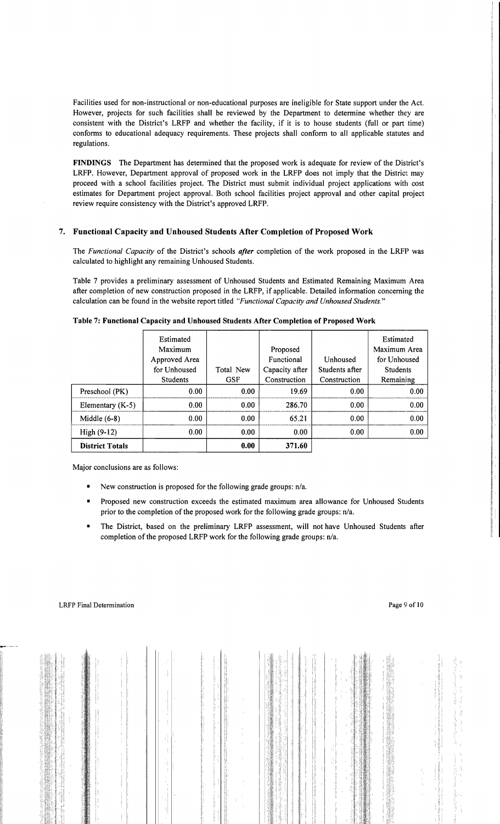Facilities used for non-instructional or non-educational purposes are ineligible for State support under the Act. However, projects for such facilities shall be reviewed by the Department to determine whether they are consistent with the District's LRFP and whether the facility, if it is to house students (full or part time) conforms to educational adequacy requirements. These projects shall conform to all applicable statutes and regulations.

FINDINGS The Department has determined that the proposed work is adequate for review of the District's LRFP. However, Department approval of proposed work in the LRFP does not imply that the District may proceed with a school facilities project. The District must submit individual project applications with cost estimates for Department project approval. Both school facilities project approval and other capital project review require consistency with the District's approved LRFP.

# 7. Functional Capacity and Unhoused Students After Completion of Proposed Work

The *Functional Capacity* of the District's schools *after* completion of the work proposed in the LRFP was calculated to highlight any remaining Unhoused Students.

Table 7 provides a preliminary assessment of Unhoused Students and Estimated Remaining Maximum Area after completion of new construction proposed in the LRFP, if applicable. Detailed information concerning the calculation can be found in the website report titled *"Functional Capacity and Unhoused Students."* 

|                        | Estimated<br>Maximum<br>Approved Area<br>for Unhoused<br><b>Students</b> | Total New<br><b>GSF</b> | Proposed<br>Functional<br>Capacity after<br>Construction | Unhoused<br>Students after<br>Construction | Estimated<br>Maximum Area<br>for Unhoused<br><b>Students</b><br>Remaining |
|------------------------|--------------------------------------------------------------------------|-------------------------|----------------------------------------------------------|--------------------------------------------|---------------------------------------------------------------------------|
| Preschool (PK)         | 0.00                                                                     | 0.00                    | 19.69                                                    | 0.00                                       | 0.00                                                                      |
| Elementary $(K-5)$     | 0.00                                                                     | 0.00                    | 286.70                                                   | 0.00                                       | 0.00                                                                      |
| Middle $(6-8)$         | 0.00                                                                     | 0.00                    | 65.21                                                    | 0.00                                       | 0.00                                                                      |
| High $(9-12)$          | 0.00                                                                     | 0.00                    | 0.00                                                     | 0.00                                       | 0.00                                                                      |
| <b>District Totals</b> |                                                                          | 0.00                    | 371.60                                                   |                                            |                                                                           |

Table 7: Functional Capacity and Unhoused Students After Completion of Proposed Work

Major conclusions are as follows:

- • New construction is proposed for the following grade groups: *n/a.*
- Proposed new construction exceeds the estimated maximum area allowance for Unhoused Students prior to the completion of the proposed work for the following grade groups: *n/a.*
- The District, based on the preliminary LRFP assessment, will not have Unhoused Students after completion of the proposed LRFP work for the following grade groups: n/a.